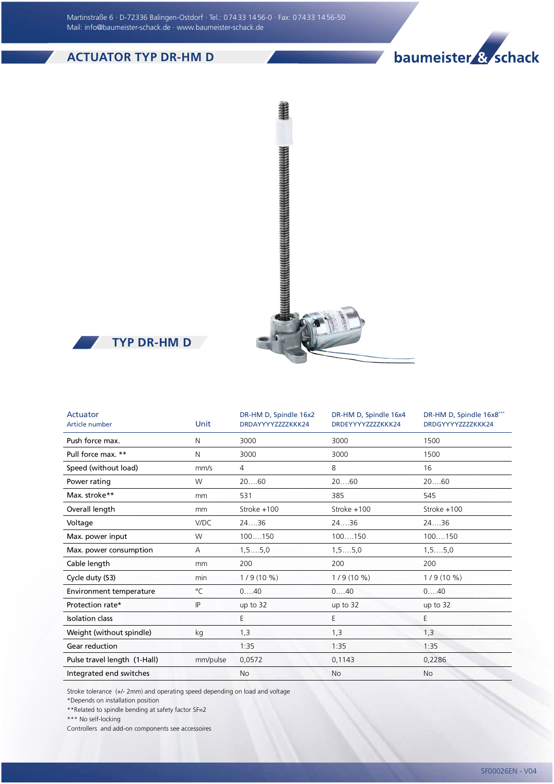Martinstraße 6 · D-72336 Balingen-Ostdorf · Tel.: 0 74 33 14 56-0 · Fax: 0 74 33 14 56-50 Mail: info@baumeister-schack.de · www.baumeister-schack.de

## ACTUATOR TYP DR-HM D







| Actuator<br>Article number   | Unit     | DR-HM D, Spindle 16x2<br>DRDAYYYYZZZZKKK24 | DR-HM D, Spindle 16x4<br>DRDEYYYYZZZZKKK24 | DR-HM D, Spindle 16x8***<br>DRDGYYYYZZZZKKK24 |
|------------------------------|----------|--------------------------------------------|--------------------------------------------|-----------------------------------------------|
| Push force max.              | N        | 3000                                       | 3000                                       | 1500                                          |
| Pull force max. **           | N        | 3000                                       | 3000                                       | 1500                                          |
| Speed (without load)         | mm/s     | 4                                          | 8                                          | 16                                            |
| Power rating                 | W        | 2060                                       | 2060                                       | 2060                                          |
| Max. stroke**                | mm       | 531                                        | 385                                        | 545                                           |
| Overall length               | mm       | Stroke +100                                | Stroke +100                                | Stroke +100                                   |
| Voltage                      | V/DC     | 2436                                       | 2436                                       | 2436                                          |
| Max. power input             | W        | 100150                                     | 100150                                     | 100150                                        |
| Max. power consumption       | Α        | $1, 5, \ldots, 5, 0$                       | 1, 55, 0                                   | $1, 5, \ldots, 5, 0$                          |
| Cable length                 | mm       | 200                                        | 200                                        | 200                                           |
| Cycle duty (S3)              | min      | $1/9(10\%)$                                | $1/9(10\%)$                                | $1/9(10\%)$                                   |
| Environment temperature      | °C       | 040                                        | 040                                        | 040                                           |
| Protection rate*             | IP       | up to 32                                   | up to 32                                   | up to 32                                      |
| <b>Isolation class</b>       |          | E.                                         | E                                          | E                                             |
| Weight (without spindle)     | kg       | 1,3                                        | 1,3                                        | 1,3                                           |
| Gear reduction               |          | 1:35                                       | 1:35                                       | 1:35                                          |
| Pulse travel length (1-Hall) | mm/pulse | 0,0572                                     | 0,1143                                     | 0,2286                                        |
| Integrated end switches      |          | No                                         | No                                         | <b>No</b>                                     |

Stroke tolerance (+/- 2mm) and operating speed depending on load and voltage

\*Depends on installation position

\*\*Related to spindle bending at safety factor SF=2

\*\*\* No self-locking

Controllers and add-on components see accessoires